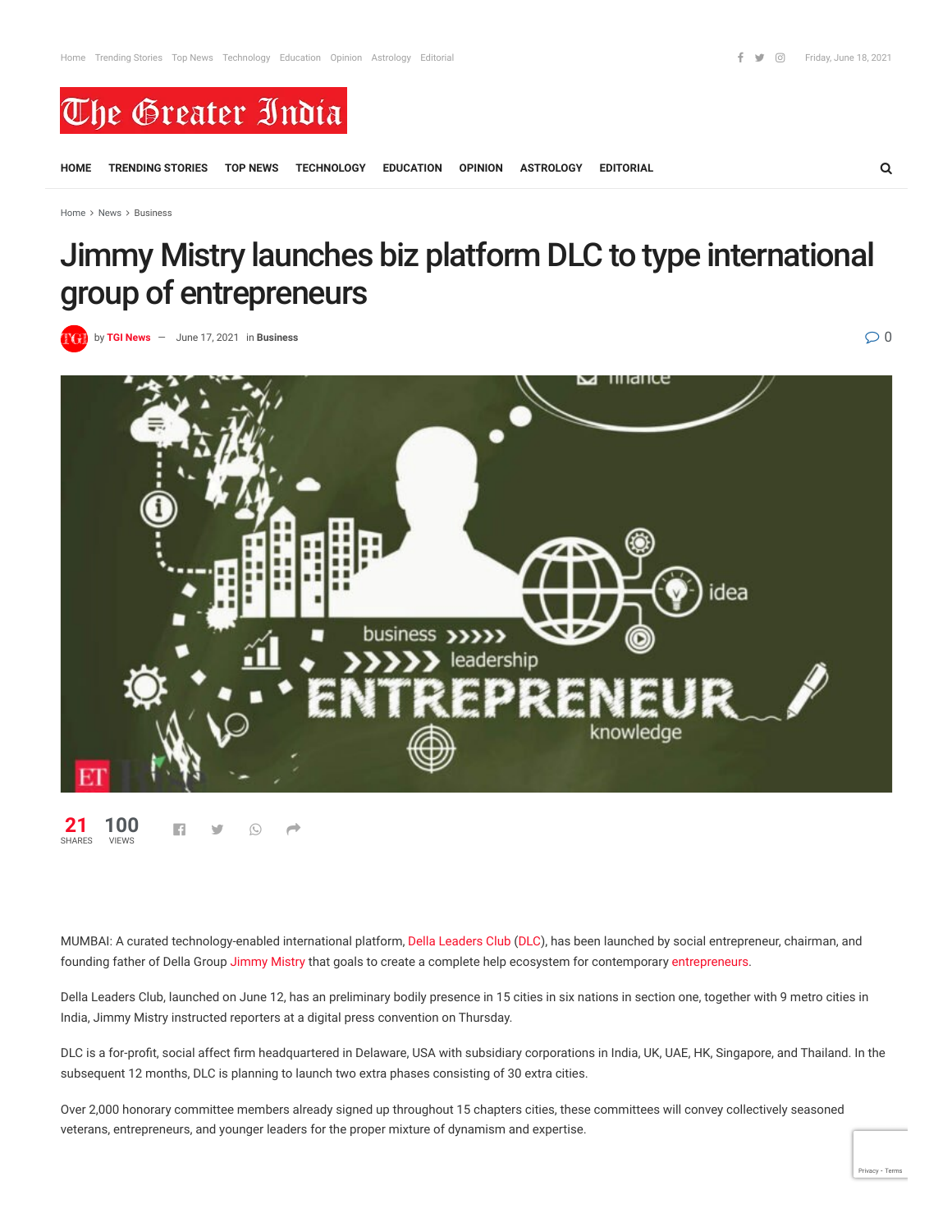

**[HOME](https://thegreaterindia.in/) [TRENDING STORIES](https://thegreaterindia.in/category/trending-stories/) [TOP NEWS](https://thegreaterindia.in/category/top-news/) [TECHNOLOGY](https://thegreaterindia.in/category/technology/) [EDUCATION](https://thegreaterindia.in/category/education/) [OPINION](https://thegreaterindia.in/category/opinion/) [ASTROLOGY](https://thegreaterindia.in/category/astrology/) [EDITORIAL](https://thegreaterindia.in/category/editorial/)**

[Home](https://thegreaterindia.in/)  $>$  [News](https://thegreaterindia.in/category/news/)  $>$  [Business](https://thegreaterindia.in/category/news/business/)

## Jimmy Mistry launches biz platform DLC to type international group of entrepreneurs

**by [TGI News](https://thegreaterindia.in/author/joinindiaoffice_s8gf3q7x/)**  $-$  [June 17, 2021](https://thegreaterindia.in/news/business/jimmy-mistry-launches-biz-platform-dlc-to-form-global-community-of-entrepreneurs/) in [Business](https://thegreaterindia.in/category/news/business/)  $\oslash$  0



■ ■ ◎ ● ● **21** SHARES **100 VIEWS** 

MUMBAI: A curated technology-enabled international platform, [Della Leaders Club](https://economictimes.indiatimes.com/topic/Della-Leaders-Club) ([DLC\)](https://economictimes.indiatimes.com/topic/DLC), has been launched by social entrepreneur, chairman, and founding father of Della Group [Jimmy Mistry](https://economictimes.indiatimes.com/topic/Jimmy-Mistry) that goals to create a complete help ecosystem for contemporary [entrepreneurs.](https://economictimes.indiatimes.com/topic/entrepreneurs)

Della Leaders Club, launched on June 12, has an preliminary bodily presence in 15 cities in six nations in section one, together with 9 metro cities in India, Jimmy Mistry instructed reporters at a digital press convention on Thursday.

DLC is a for-profit, social affect firm headquartered in Delaware, USA with subsidiary corporations in India, UK, UAE, HK, Singapore, and Thailand. In the subsequent 12 months, DLC is planning to launch two extra phases consisting of 30 extra cities.

Over 2,000 honorary committee members already signed up throughout 15 chapters cities, these committees will convey collectively seasoned veterans, entrepreneurs, and younger leaders for the proper mixture of dynamism and expertise.